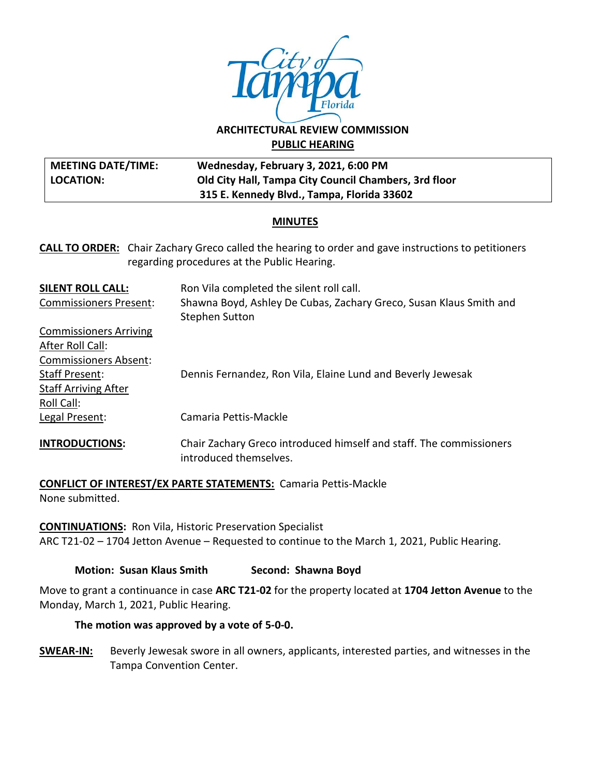

# **ARCHITECTURAL REVIEW COMMISSION PUBLIC HEARING**

#### **MEETING DATE/TIME: LOCATION: Wednesday, February 3, 2021, 6:00 PM Old City Hall, Tampa City Council Chambers, 3rd floor 315 E. Kennedy Blvd., Tampa, Florida 33602**

## **MINUTES**

| <b>CALL TO ORDER:</b> Chair Zachary Greco called the hearing to order and gave instructions to petitioners |
|------------------------------------------------------------------------------------------------------------|
| regarding procedures at the Public Hearing.                                                                |

| <b>SILENT ROLL CALL:</b>      | Ron Vila completed the silent roll call.                                                      |
|-------------------------------|-----------------------------------------------------------------------------------------------|
| <b>Commissioners Present:</b> | Shawna Boyd, Ashley De Cubas, Zachary Greco, Susan Klaus Smith and                            |
|                               | <b>Stephen Sutton</b>                                                                         |
| <b>Commissioners Arriving</b> |                                                                                               |
| After Roll Call:              |                                                                                               |
| <b>Commissioners Absent:</b>  |                                                                                               |
| <b>Staff Present:</b>         | Dennis Fernandez, Ron Vila, Elaine Lund and Beverly Jewesak                                   |
| <b>Staff Arriving After</b>   |                                                                                               |
| Roll Call:                    |                                                                                               |
| Legal Present:                | Camaria Pettis-Mackle                                                                         |
| <b>INTRODUCTIONS:</b>         | Chair Zachary Greco introduced himself and staff. The commissioners<br>introduced themselves. |

**CONFLICT OF INTEREST/EX PARTE STATEMENTS:** Camaria Pettis-Mackle None submitted.

**CONTINUATIONS:** Ron Vila, Historic Preservation Specialist ARC T21-02 – 1704 Jetton Avenue – Requested to continue to the March 1, 2021, Public Hearing.

## **Motion: Susan Klaus Smith Second: Shawna Boyd**

Move to grant a continuance in case **ARC T21-02** for the property located at **1704 Jetton Avenue** to the Monday, March 1, 2021, Public Hearing.

## **The motion was approved by a vote of 5-0-0.**

**SWEAR-IN:** Beverly Jewesak swore in all owners, applicants, interested parties, and witnesses in the Tampa Convention Center.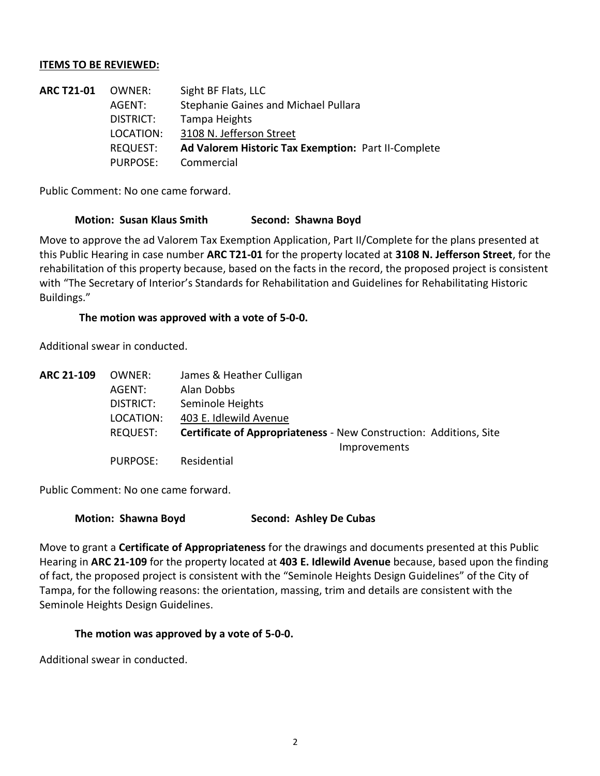#### **ITEMS TO BE REVIEWED:**

| <b>ARC T21-01</b> | OWNER:    | Sight BF Flats, LLC                                 |
|-------------------|-----------|-----------------------------------------------------|
|                   | AGENT:    | Stephanie Gaines and Michael Pullara                |
|                   | DISTRICT: | Tampa Heights                                       |
|                   | LOCATION: | 3108 N. Jefferson Street                            |
|                   | REQUEST:  | Ad Valorem Historic Tax Exemption: Part II-Complete |
|                   | PURPOSE:  | Commercial                                          |
|                   |           |                                                     |

Public Comment: No one came forward.

#### **Motion: Susan Klaus Smith Second: Shawna Boyd**

Move to approve the ad Valorem Tax Exemption Application, Part II/Complete for the plans presented at this Public Hearing in case number **ARC T21-01** for the property located at **3108 N. Jefferson Street**, for the rehabilitation of this property because, based on the facts in the record, the proposed project is consistent with "The Secretary of Interior's Standards for Rehabilitation and Guidelines for Rehabilitating Historic Buildings."

#### **The motion was approved with a vote of 5-0-0.**

Additional swear in conducted.

| ARC 21-109 | OWNER:    | James & Heather Culligan                                                  |
|------------|-----------|---------------------------------------------------------------------------|
|            | AGENT:    | Alan Dobbs                                                                |
|            | DISTRICT: | Seminole Heights                                                          |
|            | LOCATION: | 403 E. Idlewild Avenue                                                    |
|            | REQUEST:  | <b>Certificate of Appropriateness - New Construction: Additions, Site</b> |
|            |           | Improvements                                                              |
|            | PURPOSE:  | Residential                                                               |

Public Comment: No one came forward.

#### **Motion: Shawna Boyd Second: Ashley De Cubas**

Move to grant a **Certificate of Appropriateness** for the drawings and documents presented at this Public Hearing in **ARC 21-109** for the property located at **403 E. Idlewild Avenue** because, based upon the finding of fact, the proposed project is consistent with the "Seminole Heights Design Guidelines" of the City of Tampa, for the following reasons: the orientation, massing, trim and details are consistent with the Seminole Heights Design Guidelines.

#### **The motion was approved by a vote of 5-0-0.**

Additional swear in conducted.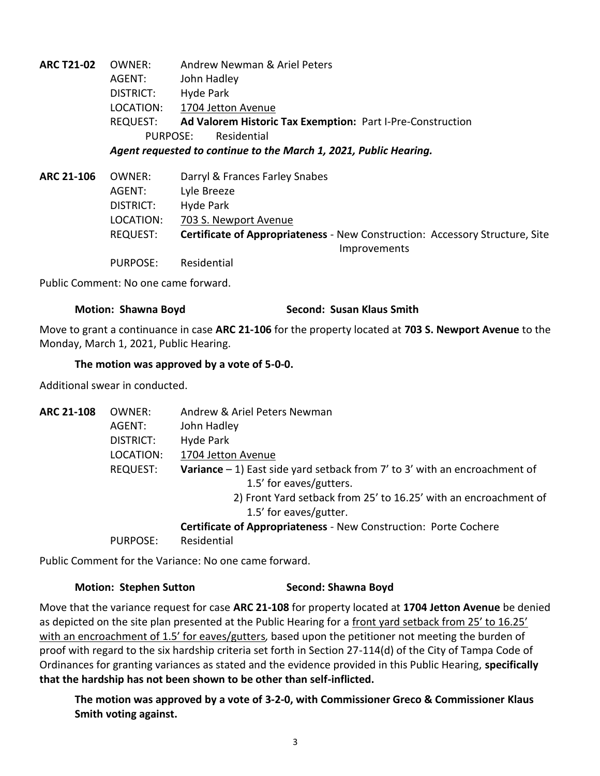**ARC T21-02** OWNER: Andrew Newman & Ariel Peters AGENT: John Hadley DISTRICT: Hyde Park LOCATION: 1704 Jetton Avenue REQUEST: **Ad Valorem Historic Tax Exemption:** Part I-Pre-Construction PURPOSE: Residential *Agent requested to continue to the March 1, 2021, Public Hearing.* **ARC 21-106** OWNER: Darryl & Frances Farley Snabes AGENT: Lyle Breeze DISTRICT: Hyde Park LOCATION: 703 S. Newport Avenue REQUEST: **Certificate of Appropriateness** - New Construction: Accessory Structure, Site **Improvements** PURPOSE: Residential

Public Comment: No one came forward.

## **Motion: Shawna Boyd Second: Susan Klaus Smith**

Move to grant a continuance in case **ARC 21-106** for the property located at **703 S. Newport Avenue** to the Monday, March 1, 2021, Public Hearing.

## **The motion was approved by a vote of 5-0-0.**

Additional swear in conducted.

| <b>ARC 21-108</b> | OWNER:          | Andrew & Ariel Peters Newman                                                        |
|-------------------|-----------------|-------------------------------------------------------------------------------------|
|                   | AGENT:          | John Hadley                                                                         |
|                   | DISTRICT:       | Hyde Park                                                                           |
|                   | LOCATION:       | 1704 Jetton Avenue                                                                  |
|                   | <b>REQUEST:</b> | <b>Variance</b> $-1$ ) East side yard setback from 7' to 3' with an encroachment of |
|                   |                 | 1.5' for eaves/gutters.                                                             |
|                   |                 | 2) Front Yard setback from 25' to 16.25' with an encroachment of                    |
|                   |                 | 1.5' for eaves/gutter.                                                              |
|                   |                 | <b>Certificate of Appropriateness - New Construction: Porte Cochere</b>             |
|                   | PURPOSE:        | Residential                                                                         |
|                   |                 |                                                                                     |

Public Comment for the Variance: No one came forward.

#### **Motion: Stephen Sutton Second: Shawna Boyd**

Move that the variance request for case **ARC 21-108** for property located at **1704 Jetton Avenue** be denied as depicted on the site plan presented at the Public Hearing for a front yard setback from 25' to 16.25' with an encroachment of 1.5' for eaves/gutters*,* based upon the petitioner not meeting the burden of proof with regard to the six hardship criteria set forth in Section 27-114(d) of the City of Tampa Code of Ordinances for granting variances as stated and the evidence provided in this Public Hearing, **specifically that the hardship has not been shown to be other than self-inflicted.**

**The motion was approved by a vote of 3-2-0, with Commissioner Greco & Commissioner Klaus Smith voting against.**